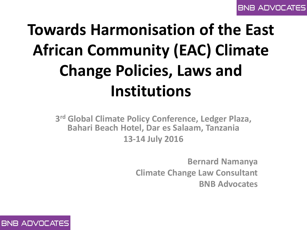# **Towards Harmonisation of the East African Community (EAC) Climate Change Policies, Laws and Institutions**

**3 rd Global Climate Policy Conference, Ledger Plaza, Bahari Beach Hotel, Dar es Salaam, Tanzania 13-14 July 2016**

> **Bernard Namanya Climate Change Law Consultant BNB Advocates**

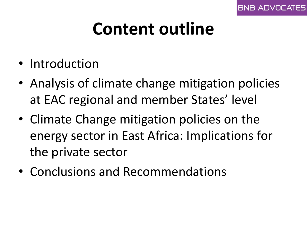# **Content outline**

- Introduction
- Analysis of climate change mitigation policies at EAC regional and member States' level
- Climate Change mitigation policies on the energy sector in East Africa: Implications for the private sector
- Conclusions and Recommendations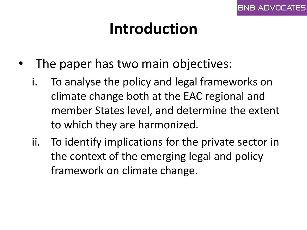- The paper has two main objectives:
	- i. To analyse the policy and legal frameworks on climate change both at the EAC regional and member States level, and determine the extent to which they are harmonized.
	- ii. To identify implications for the private sector in the context of the emerging legal and policy framework on climate change.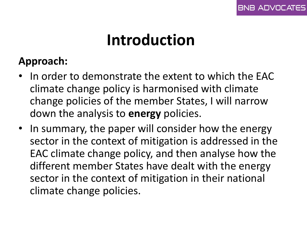### **Approach:**

- In order to demonstrate the extent to which the EAC climate change policy is harmonised with climate change policies of the member States, I will narrow down the analysis to **energy** policies.
- In summary, the paper will consider how the energy sector in the context of mitigation is addressed in the EAC climate change policy, and then analyse how the different member States have dealt with the energy sector in the context of mitigation in their national climate change policies.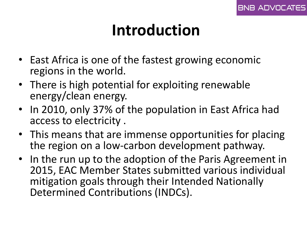- East Africa is one of the fastest growing economic regions in the world.
- There is high potential for exploiting renewable energy/clean energy.
- In 2010, only 37% of the population in East Africa had access to electricity .
- This means that are immense opportunities for placing the region on a low-carbon development pathway.
- In the run up to the adoption of the Paris Agreement in 2015, EAC Member States submitted various individual mitigation goals through their Intended Nationally Determined Contributions (INDCs).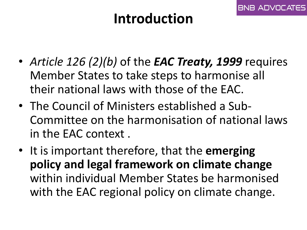BNB ADVOCAT

- *Article 126 (2)(b)* of the *EAC Treaty, 1999* requires Member States to take steps to harmonise all their national laws with those of the EAC.
- The Council of Ministers established a Sub-Committee on the harmonisation of national laws in the EAC context .
- It is important therefore, that the **emerging policy and legal framework on climate change**  within individual Member States be harmonised with the EAC regional policy on climate change.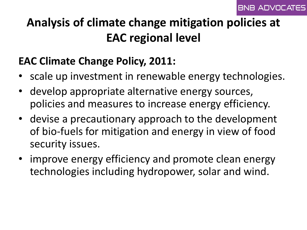### **Analysis of climate change mitigation policies at EAC regional level**

### **EAC Climate Change Policy, 2011:**

- scale up investment in renewable energy technologies.
- develop appropriate alternative energy sources, policies and measures to increase energy efficiency.
- devise a precautionary approach to the development of bio-fuels for mitigation and energy in view of food security issues.
- improve energy efficiency and promote clean energy technologies including hydropower, solar and wind.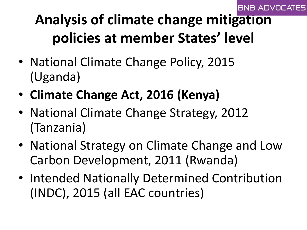#### **BNB ADVOCATES**

### **Analysis of climate change mitigation policies at member States' level**

- National Climate Change Policy, 2015 (Uganda)
- **Climate Change Act, 2016 (Kenya)**
- National Climate Change Strategy, 2012 (Tanzania)
- National Strategy on Climate Change and Low Carbon Development, 2011 (Rwanda)
- Intended Nationally Determined Contribution (INDC), 2015 (all EAC countries)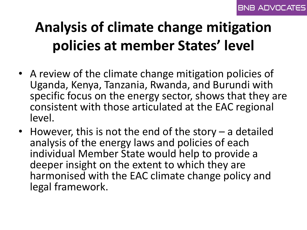### **Analysis of climate change mitigation policies at member States' level**

- A review of the climate change mitigation policies of Uganda, Kenya, Tanzania, Rwanda, and Burundi with specific focus on the energy sector, shows that they are consistent with those articulated at the EAC regional level.
- However, this is not the end of the story a detailed analysis of the energy laws and policies of each individual Member State would help to provide a deeper insight on the extent to which they are harmonised with the EAC climate change policy and legal framework.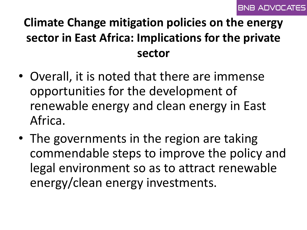### **Climate Change mitigation policies on the energy sector in East Africa: Implications for the private sector**

- Overall, it is noted that there are immense opportunities for the development of renewable energy and clean energy in East Africa.
- The governments in the region are taking commendable steps to improve the policy and legal environment so as to attract renewable energy/clean energy investments.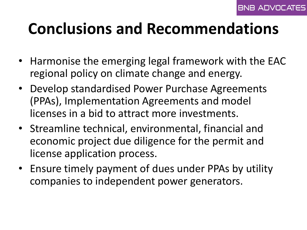## **Conclusions and Recommendations**

- Harmonise the emerging legal framework with the EAC regional policy on climate change and energy.
- Develop standardised Power Purchase Agreements (PPAs), Implementation Agreements and model licenses in a bid to attract more investments.
- Streamline technical, environmental, financial and economic project due diligence for the permit and license application process.
- Ensure timely payment of dues under PPAs by utility companies to independent power generators.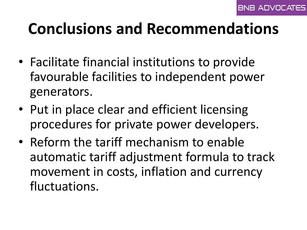## **Conclusions and Recommendations**

- Facilitate financial institutions to provide favourable facilities to independent power generators.
- Put in place clear and efficient licensing procedures for private power developers.
- Reform the tariff mechanism to enable automatic tariff adjustment formula to track movement in costs, inflation and currency fluctuations.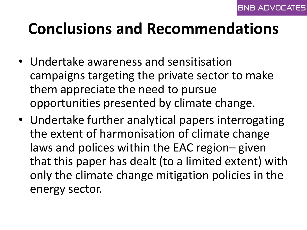## **Conclusions and Recommendations**

- Undertake awareness and sensitisation campaigns targeting the private sector to make them appreciate the need to pursue opportunities presented by climate change.
- Undertake further analytical papers interrogating the extent of harmonisation of climate change laws and polices within the EAC region– given that this paper has dealt (to a limited extent) with only the climate change mitigation policies in the energy sector.